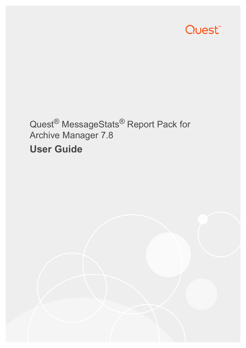

# Quest<sup>®</sup> MessageStats<sup>®</sup> Report Pack for Archive Manager 7.8 **User Guide**

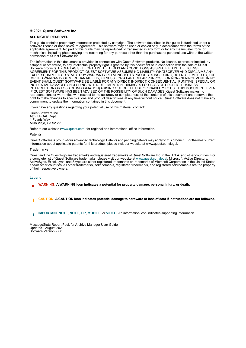#### **© 2021 Quest Software Inc.**

#### **ALL RIGHTS RESERVED.**

This guide contains proprietary information protected by copyright. The software described in this guide is furnished under a software license or nondisclosure agreement. This software may be used or copied only in accordance with the terms of the applicable agreement. No part of this guide may be reproduced or transmitted in any form or by any means, electronic or mechanical, including photocopying and recording for any purpose other than the purchaser's personal use without the written permission of Quest Software Inc.

The information in this document is provided in connection with Quest Software products. No license, express or implied, by estoppel or otherwise, to any intellectual property right is granted by this document or in connection with the sale of Quest<br>Software products. EXCEPT AS SET FORTH IN THE TERMS AND CONDITIONS AS SPECIFIED IN THE LICENSE<br>A EXPRESS, IMPLIED OR STATUTORY WARRANTY RELATING TO ITS PRODUCTS INCLUDING, BUT NOT LIMITED TO, THE IMPLIED WARRANTY OF MERCHANTABILITY, FITNESS FOR A PARTICULAR PURPOSE, OR NON-INFRINGEMENT. IN NO EVENT SHALL QUEST SOFTWARE BE LIABLE FOR ANY DIRECT, INDIRECT, CONSEQUENTIAL, PUNITIVE, SPECIAL OR INCIDENTAL DAMAGES (INCLUDING, WITHOUT LIMITATION, DAMAGES FOR LOSS OF PROFITS, BUSINESS<br>INTERRUPTION OR LOSS OF INFORMATION) ARISING OUT OF THE USE OR INABILITY TO USE THIS DOCUMENT, EVEN IF QUEST SOFTWARE HAS BEEN ADVISED OF THE POSSIBILITY OF SUCH DAMAGES. Quest Software makes no representations or warranties with respect to the accuracy or completeness of the contents of this document and reserves the right to make changes to specifications and product descriptions at any time without notice. Quest Software does not make any commitment to update the information contained in this document.

If you have any questions regarding your potential use of this material, contact:

Quest Software Inc. Attn: LEGAL Dept. 4 Polaris Way Aliso Viejo, CA 92656

Refer to our website [\(www.quest.com](http://www.quest.com)) for regional and international office information.

#### **Patents**

Quest Software is proud of our advanced technology. Patents and pending patents may apply to this product. For the most current information about applicable patents for this product, please visit our website at www.quest.com/legal.

#### **Trademarks**

Quest and the Quest logo are trademarks and registered trademarks of Quest Software Inc. in the U.S.A. and other countries. For a complete list of Quest Software trademarks, please visit our website at [www.quest.com/legal.](http://www.quest.com/legal) Microsoft, Active Directory, ActiveSync, Excel, Lync, and Skype are either registered trademarks or trademarks of Microsoft Corporation in the United States and/or other countries. All other trademarks, servicemarks, registered trademarks, and registered servicemarks are the property of their respective owners.

#### **Legend**

- **WARNING: A WARNING icon indicates a potential for property damage, personal injury, or death.**
- **CAUTION: A CAUTION icon indicates potential damage to hardware or loss of data if instructions are not followed.** Ţ
- **IMPORTANT NOTE**, **NOTE**, **TIP**, **MOBILE**, or **VIDEO:** An information icon indicates supporting information.i

MessageStats Report Pack for Archive Manager User Guide Updated - August 2021 Software Version - 7.8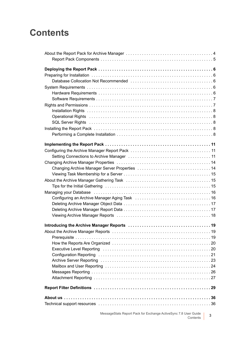# **Contents**

| Tips for the Initial Gathering (and the context of the context of the Initial Gathering context of the United S                                                                                                                |
|--------------------------------------------------------------------------------------------------------------------------------------------------------------------------------------------------------------------------------|
| Managing your Database (and accommunication of the contract of the matrix of the Managing your Database (b) and $\sim$                                                                                                         |
|                                                                                                                                                                                                                                |
|                                                                                                                                                                                                                                |
|                                                                                                                                                                                                                                |
|                                                                                                                                                                                                                                |
|                                                                                                                                                                                                                                |
|                                                                                                                                                                                                                                |
|                                                                                                                                                                                                                                |
|                                                                                                                                                                                                                                |
| Executive Level Reporting (and according of the contract of the contract of the contract of the contract of the contract of the contract of the contract of the contract of the contract of the contract of the contract of th |
|                                                                                                                                                                                                                                |
|                                                                                                                                                                                                                                |
|                                                                                                                                                                                                                                |
|                                                                                                                                                                                                                                |
|                                                                                                                                                                                                                                |
|                                                                                                                                                                                                                                |
|                                                                                                                                                                                                                                |
|                                                                                                                                                                                                                                |
|                                                                                                                                                                                                                                |

MessageStats Report Pack for Exchange ActiveSync 7.8 User Guide ser Guide | 3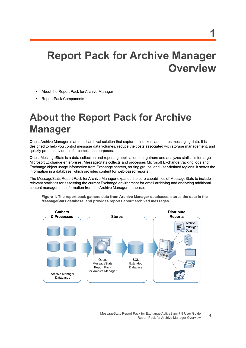# **Report Pack for Archive Manager Overview**

- **•** [About the Report Pack for Archive Manager](#page-3-0)
- **•** [Report Pack Components](#page-4-0)

# <span id="page-3-0"></span>**About the Report Pack for Archive Manager**

Quest Archive Manager is an email archival solution that captures, indexes, and stores messaging data. It is designed to help you control message data volumes, reduce the costs associated with storage management, and quickly produce evidence for compliance purposes.

Quest MessageStats is a data collection and reporting application that gathers and analyzes statistics for large Microsoft Exchange enterprises. MessageStats collects and processes Microsoft Exchange tracking logs and Exchange object usage information from Exchange servers, routing groups, and user-defined regions. It stores the information in a database, which provides content for web-based reports.

The MessageStats Report Pack for Archive Manager expands the core capabilities of MessageStats to include relevant statistics for assessing the current Exchange environment for email archiving and analyzing additional content management information from the Archive Manager database.



**Figure 1. The report pack gathers data from Archive Manager databases, stores the data in the MessageStats database, and provides reports about archived messages.**

**4**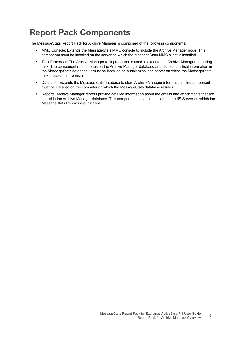# <span id="page-4-0"></span>**Report Pack Components**

The MessageStats Report Pack for Archive Manager is comprised of the following components:

- **•** MMC Console: Extends the MessageStats MMC console to include the Archive Manager node. This component must be installed on the server on which the MessageStats MMC client is installed.
- <span id="page-4-1"></span>**•** Task Processor: The Archive Manager task processor is used to execute the Archive Manager gathering task. The component runs queries on the Archive Manager database and stores statistical information in the MessageStats database. It must be installed on a task execution server on which the MessageStats task processors are installed.
- **•** Database: Extends the MessageStats database to store Archive Manager information. This component must be installed on the computer on which the MessageStats database resides.
- **•** Reports: Archive Manager reports provide detailed information about the emails and attachments that are stored in the Archive Manager database. This component must be installed on the IIS Server on which the MessageStats Reports are installed.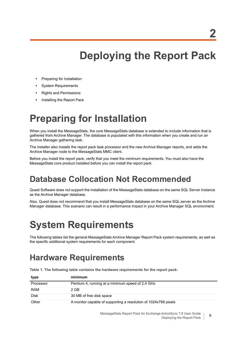# **Deploying the Report Pack**

- <span id="page-5-0"></span>**•** [Preparing for Installation](#page-5-1)
- **•** [System Requirements](#page-5-3)
- **•** [Rights and Permissions](#page-6-1)
- **•** [Installing the Report Pack](#page-7-3)

# <span id="page-5-1"></span>**Preparing for Installation**

When you install the MessageStats, the core MessageStats database is extended to include information that is gathered from Archive Manager. The database is populated with this information when you create and run an Archive Manager gathering task.

The installer also installs the report pack task processor and the new Archive Manager reports, and adds the Archive Manager node to the MessageStats MMC client.

Before you install the report pack, verify that you meet the minimum requirements. You must also have the MessageStats core product installed before you can install the report pack.

# <span id="page-5-2"></span>**Database Collocation Not Recommended**

Quest Software does not support the installation of the MessageStats database on the same SQL Server Instance as the Archive Manager database.

Also, Quest does not recommend that you install MessageStats database on the same SQL server as the Archive Manager database. This scenario can result in a performance impact in your Archive Manager SQL environment.

# <span id="page-5-3"></span>**System Requirements**

The following tables list the general MessageStats Archive Manager Report Pack system requirements, as well as the specific additional system requirements for each component.

# <span id="page-5-4"></span>**Hardware Requirements**

**Table 1. The following table contains the hardware requirements for the report pack:**

| type        | minimum                                                         |
|-------------|-----------------------------------------------------------------|
| Processor   | Pentium 4, running at a minimum speed of 2.4 GHz                |
| <b>RAM</b>  | 2 GB                                                            |
| <b>Disk</b> | 30 MB of free disk space                                        |
| Other       | A monitor capable of supporting a resolution of 1024x768 pixels |

MessageStats Report Pack for Exchange ActiveSync 7.8 User Guide Deploying the Report Pack

**6**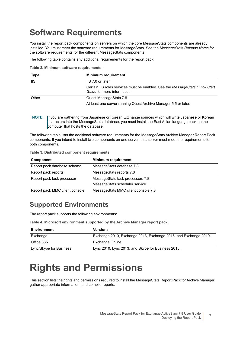# <span id="page-6-0"></span>**Software Requirements**

You install the report pack components on servers on which the core MessageStats components are already installed. You must meet the software requirements for MessageStats. See the *MessageStats Release Notes* for the software requirements for the different MessageStats components.

The following table contains any additional requirements for the report pack:

**Table 2. Minimum software requirements.**

| <b>Type</b> | <b>Minimum requirement</b>                                                                                   |
|-------------|--------------------------------------------------------------------------------------------------------------|
| lis.        | IIS 7.0 or later                                                                                             |
|             | Certain IIS roles services must be enabled. See the Message Stats Quick Start<br>Guide for more information. |
| Other       | Quest MessageStats 7.8                                                                                       |
|             | At least one server running Quest Archive Manager 5.5 or later.                                              |

<span id="page-6-4"></span><span id="page-6-3"></span>**NOTE:** If you are gathering from Japanese or Korean Exchange sources which will write Japanese or Korean characters into the MessageStats database, you must install the East Asian language pack on the computer that hosts the database.

The following table lists the additional software requirements for the MessageStats Archive Manager Report Pack components. If you intend to install two components on one server, that server must meet the requirements for both components.

**Table 3. Distributed component requirements.**

<span id="page-6-2"></span>

| Component                      | <b>Minimum requirement</b>          |
|--------------------------------|-------------------------------------|
| Report pack database schema    | MessageStats database 7.8           |
| Report pack reports            | MessageStats reports 7.8            |
| Report pack task processor     | MessageStats task processors 7.8    |
|                                | MessageStats scheduler service      |
| Report pack MMC client console | MessageStats MMC client console 7.8 |

## **Supported Environments**

The report pack supports the following environments:

**Table 4. Microsoft environment supported by the Archive Manager report pack.**

| <b>Environment</b>      | <b>Versions</b>                                                 |
|-------------------------|-----------------------------------------------------------------|
| Exchange                | Exchange 2010, Exchange 2013, Exchange 2016, and Exchange 2019. |
| Office 365              | Exchange Online                                                 |
| Lync/Skype for Business | Lync 2010, Lync 2013, and Skype for Business 2015.              |

# <span id="page-6-1"></span>**Rights and Permissions**

This section lists the rights and permissions required to install the MessageStats Report Pack for Archive Manager, gather appropriate information, and compile reports.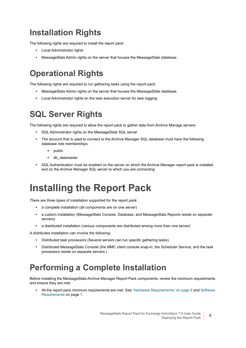# <span id="page-7-0"></span>**Installation Rights**

The following rights are required to install the report pack:

- <span id="page-7-5"></span>**•** Local Administrator rights
- **•** MessageStats Admin rights on the server that houses the MessageStats database

# <span id="page-7-1"></span>**Operational Rights**

The following rights are required to run gathering tasks using the report pack:

- **•** MessageStats Admin rights on the server that houses the MessageStats database
- <span id="page-7-7"></span><span id="page-7-6"></span>**•** Local Administrator rights on the task execution server for task logging

# <span id="page-7-2"></span>**SQL Server Rights**

The following rights are required to allow the report pack to gather data from Archive Manage servers:

- <span id="page-7-8"></span>**•** SQL Administrator rights on the MessageStats SQL server
- **•** The account that is used to connect to the Archive Manager SQL database must have the following database role memberships:
	- **▪** public
	- **▪** db\_datareader
- **•** SQL Authentication must be enabled on the server on which the Archive Manager report pack is installed and on the Archive Manager SQL server to which you are connecting

# <span id="page-7-3"></span>**Installing the Report Pack**

There are three types of installation supported for the report pack:

- <span id="page-7-9"></span>**•** a complete installation (all components are on one server)
- **•** a custom installation (MessageStats Console, Database, and MessageStats Reports reside on separate servers)
- **•** a distributed installation (various components are distributed among more than one server)

A distributed installation can involve the following:

- **•** Distributed task processors (Several servers can run specific gathering tasks).
- **•** Distributed MessageStats Console (the MMC client console snap-in, the Scheduler Service, and the task processors reside on separate servers.)

# <span id="page-7-4"></span>**Performing a Complete Installation**

Before installing the MessageStats Archive Manager Report Pack components, review the minimum requirements and ensure they are met:

**•** All the report pack minimum requirements are met. See ["Hardware Requirements" on page 6](#page-5-4) and [Software](#page-6-0)  [Requirements on page 7](#page-6-0).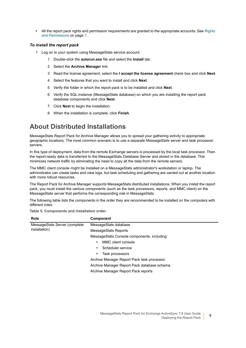**•** All the report pack rights and permission requirements are granted to the appropriate accounts. See [Rights](#page-6-1)  [and Permissions on page 7.](#page-6-1)

### *To install the report pack*

- 1 Log on to your system using MessageStats service account.
	- 1 Double-click the **autorun.exe** file and select the **Install** tab.
	- 2 Select the **Archive Manager** link.
	- 3 Read the license agreement, select the **I accept the license agreement** check box and click **Next**.
	- 4 Select the features that you want to install and click **Next**.
	- 5 Verify the folder in which the report pack is to be installed and click **Next**.
	- 6 Verify the SQL instance (MessageStats database) on which you are installing the report pack database components and click **Next**.
	- 7 Click **Next** to begin the installation.
	- 8 When the installation is complete, click **Finish**.

## **About Distributed Installations**

MessageStats Report Pack for Archive Manager allows you to spread your gathering activity to appropriate geographic locations. The most common scenario is to use a separate MessageStats server and task processor servers.

In this type of deployment, data from the remote Exchange servers is processed by the local task processor. Then the report-ready data is transferred to the MessageStats Database Server and stored in the database. This minimizes network traffic by eliminating the need to copy all the data from the remote servers.

The MMC client console might be installed on a MessageStats administrator's workstation or laptop. The administrator can create tasks and view logs, but task scheduling and gathering are carried out at another location with more robust resources.

The Report Pack for Archive Manager supports MessageStats distributed installations. When you install the report pack, you must install the various components (such as the task processors, reports, and MMC client) on the MessageStats server that performs the corresponding role in MessageStats.

The following table lists the components in the order they are recommended to be installed on the computers with different roles.

**Table 5. Components and installation order.**

| <b>Role</b>                   | <b>Component</b>                            |  |  |  |  |
|-------------------------------|---------------------------------------------|--|--|--|--|
| MessageStats Server (complete | MessageStats database                       |  |  |  |  |
| installation)                 | MessageStats Reports                        |  |  |  |  |
|                               | MessageStats Console components, including: |  |  |  |  |
|                               | MMC client console<br>$\bullet$             |  |  |  |  |
|                               | Scheduler service<br>٠                      |  |  |  |  |
|                               | Task processors<br>$\bullet$                |  |  |  |  |
|                               | Archive Manager Report Pack task processor  |  |  |  |  |
|                               | Archive Manager Report Pack database schema |  |  |  |  |
|                               | Archive Manager Report Pack reports         |  |  |  |  |
|                               |                                             |  |  |  |  |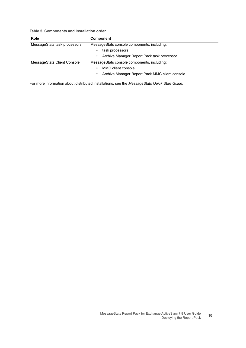**Table 5. Components and installation order.**

| <b>Role</b>                  | <b>Component</b>                                |
|------------------------------|-------------------------------------------------|
| MessageStats task processors | MessageStats console components, including:     |
|                              | task processors<br>٠                            |
|                              | Archive Manager Report Pack task processor<br>٠ |
| MessageStats Client Console  | MessageStats console components, including:     |
|                              | MMC client console<br>٠                         |
|                              | Archive Manager Report Pack MMC client console  |

For more information about distributed installations, see the *MessageStats Quick Start Guide.*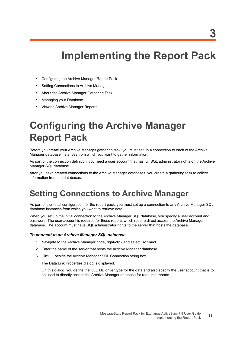# **Implementing the Report Pack**

- <span id="page-10-0"></span>**•** [Configuring the Archive Manager Report Pack](#page-10-1)
- **•** [Setting Connections to Archive Manager](#page-10-2)
- **•** [About the Archive Manager Gathering Task](#page-14-1)
- **•** [Managing your Database](#page-15-0)
- **•** [Viewing Archive Manager Reports](#page-17-0)

# <span id="page-10-1"></span>**Configuring the Archive Manager Report Pack**

Before you create your Archive Manager gathering task, you must set up a connection to each of the Archive Manager database instances from which you want to gather information.

As part of the connection definition, you need a user account that has full SQL administrator rights on the Archive Manager SQL database.

After you have created connections to the Archive Manager databases, you create a gathering task to collect information from the databases.

# <span id="page-10-2"></span>**Setting Connections to Archive Manager**

As part of the initial configuration for the report pack, you must set up a connection to any Archive Manager SQL database instances from which you want to retrieve data.

When you set up the initial connection to the Archive Manager SQL database, you specify a user account and password. The user account is required for those reports which require direct access the Archive Manager database. The account must have SQL administrator rights to the server that hosts the database.

#### *To connect to an Archive Manager SQL database*

- <span id="page-10-3"></span>1 Navigate to the Archive Manager node, right-click and select **Connect**.
- 2 Enter the name of the server that hosts the Archive Manager database.
- 3 Click **...** beside the Archive Manager SQL Connection string box.

The Data Link Properties dialog is displayed.

On this dialog, you define the OLE DB driver type for the data and also specify the user account that is to be used to directly access the Archive Manager database for real-time reports.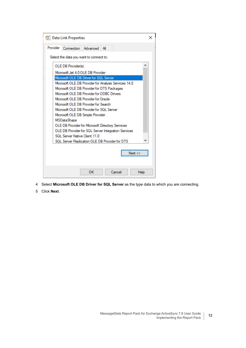|          | 哪 Data Link Properties                                 |          |     |        |      |   |
|----------|--------------------------------------------------------|----------|-----|--------|------|---|
| Provider | Connection                                             | Advanced | All |        |      |   |
|          | Select the data you want to connect to:                |          |     |        |      |   |
|          | OLE DB Provider(s)                                     |          |     |        |      | ۸ |
|          | Microsoft Jet 4.0 OLE DB Provider                      |          |     |        |      |   |
|          | Microsoft OLE DB Driver for SQL Server                 |          |     |        |      |   |
|          | Microsoft OLE DB Provider for Analysis Services 14.0   |          |     |        |      |   |
|          | Microsoft OLE DB Provider for DTS Packages             |          |     |        |      |   |
|          | Microsoft OLE DB Provider for ODBC Drivers             |          |     |        |      |   |
|          | Microsoft OLE DB Provider for Oracle                   |          |     |        |      |   |
|          | Microsoft OLE DB Provider for Search                   |          |     |        |      |   |
|          | Microsoft OLE DB Provider for SQL Server               |          |     |        |      |   |
|          | Microsoft OLE DB Simple Provider<br><b>MSDataShape</b> |          |     |        |      |   |
|          | OLE DB Provider for Microsoft Directory Services       |          |     |        |      |   |
|          | OLE DB Provider for SQL Server Integration Services    |          |     |        |      |   |
|          | SQL Server Native Client 11.0                          |          |     |        |      |   |
|          | SQL Server Replication OLE DB Provider for DTS         |          |     |        |      |   |
|          |                                                        |          |     |        |      |   |
|          |                                                        |          |     |        | Next |   |
|          |                                                        |          |     |        |      |   |
|          |                                                        |          |     |        |      |   |
|          |                                                        | OK       |     | Cancel | Help |   |

- 4 Select **Microsoft OLE DB Driver for SQL Server** as the type data to which you are connecting.
- 5 Click **Next**.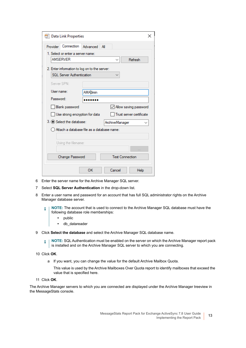|            | <b>ill</b> Data Link Properties               |                |     |                |                        | ×                            |
|------------|-----------------------------------------------|----------------|-----|----------------|------------------------|------------------------------|
| Provider   | Connection Advanced                           |                | All |                |                        |                              |
|            | 1. Select or enter a server name:             |                |     |                |                        |                              |
|            | <b>AMSERVER</b>                               |                |     | $\checkmark$   |                        | Refresh                      |
|            | 2. Enter information to log on to the server: |                |     |                |                        |                              |
|            | SQL Server Authentication                     |                |     |                |                        |                              |
|            | Server SPN:                                   |                |     |                |                        |                              |
| User name: |                                               | <b>AMAdmin</b> |     |                |                        |                              |
| Password:  |                                               |                |     |                |                        |                              |
|            | <b>Blank password</b>                         |                |     |                |                        | $\vee$ Allow saving password |
|            | Use strong encryption for data                |                |     |                |                        | Trust server certificate     |
|            | 3. O Select the database:                     |                |     | ArchiveManager |                        |                              |
|            | ) Attach a database file as a database name:  |                |     |                |                        |                              |
|            |                                               |                |     |                |                        |                              |
|            | Using the filename:                           |                |     |                |                        |                              |
|            |                                               |                |     |                |                        |                              |
|            | Change Password                               |                |     |                | <b>Test Connection</b> |                              |
|            |                                               | ОΚ             |     | Cancel         |                        | Help                         |

- 6 Enter the server name for the Archive Manager SQL server.
- 7 Select **SQL Server Authentication** in the drop-down list.
- 8 Enter a user name and password for an account that has full SQL administrator rights on the Archive Manager database server.

**NOTE:** The account that is used to connect to the Archive Manager SQL database must have the i following database role memberships:

- <span id="page-12-1"></span><span id="page-12-0"></span>**•** public
- **•** db\_datareader

9 Click **Select the database** and select the Archive Manager SQL database name.

**NOTE:** SQL Authentication must be enabled on the server on which the Archive Manager report pack f. is installed and on the Archive Manager SQL server to which you are connecting.

- 10 Click **OK**.
	- a If you want, you can change the value for the default Archive Mailbox Quota.
		- This value is used by the Archive Mailboxes Over Quota report to identify mailboxes that exceed the value that is specified here.
- 11 Click **OK**.

The Archive Manager servers to which you are connected are displayed under the Archive Manager treeview in the MessageStats console.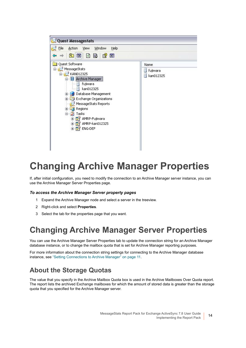

# <span id="page-13-0"></span>**Changing Archive Manager Properties**

If, after initial configuration, you need to modify the connection to an Archive Manager server instance, you can use the Archive Manager Server Properties page.

#### *To access the Archive Manager Server property pages*

- 1 Expand the Archive Manager node and select a server in the treeview.
- 2 Right-click and select **Properties**.
- 3 Select the tab for the properties page that you want.

## <span id="page-13-1"></span>**Changing Archive Manager Server Properties**

<span id="page-13-2"></span>You can use the Archive Manager Server Properties tab to update the connection string for an Archive Manager database instance, or to change the mailbox quota that is set for Archive Manager reporting purposes.

For more information about the connection string settings for connecting to the Archive Manager database instance, see ["Setting Connections to Archive Manager" on page 11.](#page-10-2)

## **About the Storage Quotas**

<span id="page-13-3"></span>The value that you specify in the Archive Mailbox Quota box is used in the Archive Mailboxes Over Quota report. The report lists the archived Exchange mailboxes for which the amount of stored data is greater than the storage quota that you specified for the Archive Manager server.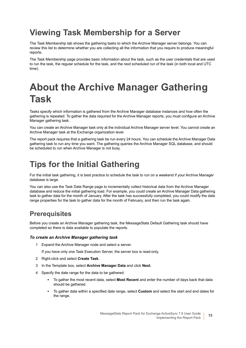# <span id="page-14-0"></span>**Viewing Task Membership for a Server**

<span id="page-14-5"></span>The Task Membership tab shows the gathering tasks to which the Archive Manager server belongs. You can review this list to determine whether you are collecting all the information that you require to produce meaningful reports.

The Task Membership page provides basic information about the task, such as the user credentials that are used to run the task, the regular schedule for the task, and the next scheduled run of the task (in both local and UTC time).

# <span id="page-14-1"></span>**About the Archive Manager Gathering Task**

Tasks specify which information is gathered from the Archive Manager database instances and how often the gathering is repeated. To gather the data required for the Archive Manager reports, you must configure an Archive Manager gathering task.

You can create an Archive Manager task only at the individual Archive Manager server level. You cannot create an Archive Manager task at the Exchange organization level.

<span id="page-14-4"></span>The report pack requires that a gathering task be run every 24 hours. You can schedule the Archive Manager Data gathering task to run any time you want. The gathering queries the Archive Manager SQL database, and should be scheduled to run when Archive Manager is not busy.

# <span id="page-14-2"></span>**Tips for the Initial Gathering**

For the initial task gathering, it is best practice to schedule the task to run on a weekend if your Archive Manager database is large.

<span id="page-14-3"></span>You can also use the Task Date Range page to incrementally collect historical data from the Archive Manager database and reduce the initial gathering load. For example, you could create an Archive Manager Data gathering task to gather data for the month of January. After the task has successfully completed, you could modify the date range properties for the task to gather data for the month of February, and then run the task again.

## **Prerequisites**

Before you create an Archive Manager gathering task, the MessageStats Default Gathering task should have completed so there is data available to populate the reports.

### *To create an Archive Manager gathering task*

- 1 Expand the Archive Manager node and select a server.
	- If you have only one Task Execution Server, the server box is read-only.
- 2 Right-click and select **Create Task**.
- 3 In the Template box, select **Archive Manager Data** and click **Next**.
- 4 Specify the date range for the data to be gathered:
	- **▪** To gather the most recent data, select **Most Recent** and enter the number of days back that data should be gathered.
	- **▪** To gather data within a specified date range, select **Custom** and select the start and end dates for the range.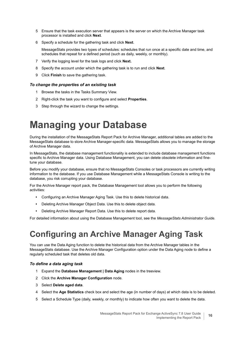- 5 Ensure that the task execution server that appears is the server on which the Archive Manager task processor is installed and click **Next**.
- 6 Specify a schedule for the gathering task and click **Next**.

MessageStats provides two types of schedules: schedules that run once at a specific date and time, and schedules that repeat for a defined period (such as daily, weekly, or monthly).

- 7 Verify the logging level for the task logs and click **Next.**
- 8 Specify the account under which the gathering task is to run and click **Next**.
- 9 Click **Finish** to save the gathering task.

#### *To change the properties of an existing task*

- 1 Browse the tasks in the Tasks Summary View.
- 2 Right-click the task you want to configure and select **Properties**.
- 3 Step through the wizard to change the settings.

# <span id="page-15-0"></span>**Managing your Database**

During the installation of the MessageStats Report Pack for Archive Manager, additional tables are added to the MessageStats database to store Archive Manager-specific data. MessageStats allows you to manage the storage of Archive Manager data.

In MessageStats, the database management functionality is extended to include database management functions specific to Archive Manager data. Using Database Management, you can delete obsolete information and finetune your database.

Before you modify your database, ensure that no MessageStats Consoles or task processors are currently writing information to the database. If you use Database Management while a MessageStats Console is writing to the database, you risk corrupting your database.

For the Archive Manager report pack, the Database Management tool allows you to perform the following activities:

- **•** [Configuring an Archive Manager Aging Task.](#page-15-1) Use this to delete historical data.
- **•** [Deleting Archive Manager Object Data.](#page-16-0) Use this to delete object data.
- **•** [Deleting Archive Manager Report Data.](#page-16-1) Use this to delete report data.

For detailed information about using the Database Management tool, see the *MessageStats Administrator Guide*.

# <span id="page-15-1"></span>**Configuring an Archive Manager Aging Task**

<span id="page-15-2"></span>You can use the Data Aging function to delete the historical data from the Archive Manager tables in the MessageStats database. Use the Archive Manager Configuration option under the Data Aging node to define a regularly scheduled task that deletes old data.

#### *To define a data aging task*

- 1 Expand the **Database Management | Data Aging** nodes in the treeview.
- 2 Click the **Archive Manager Configuration** node.
- 3 Select **Delete aged data**.
- 4 Select the **Age Statistics** check box and select the age (in number of days) at which data is to be deleted.
- 5 Select a Schedule Type (daily, weekly, or monthly) to indicate how often you want to delete the data.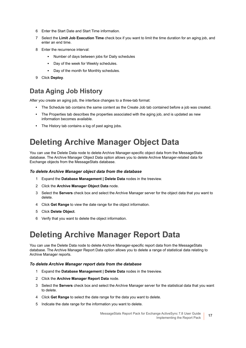- 6 Enter the Start Date and Start Time information.
- 7 Select the **Limit Job Execution Time** check box if you want to limit the time duration for an aging job, and enter an end time.
- 8 Enter the recurrence interval:
	- **▪** Number of days between jobs for Daily schedules
	- **▪** Day of the week for Weekly schedules.
	- **▪** Day of the month for Monthly schedules.
- <span id="page-16-2"></span>9 Click **Deploy**.

## **Data Aging Job History**

After you create an aging job, the interface changes to a three-tab format:

- **•** The Schedule tab contains the same content as the Create Job tab contained before a job was created.
- **•** The Properties tab describes the properties associated with the aging job, and is updated as new information becomes available.
- <span id="page-16-3"></span>**•** The History tab contains a log of past aging jobs.

# <span id="page-16-0"></span>**Deleting Archive Manager Object Data**

You can use the Delete Data node to delete Archive Manager-specific object data from the MessageStats database. The Archive Manager Object Data option allows you to delete Archive Manager-related data for Exchange objects from the MessageStats database.

#### *To delete Archive Manager object data from the database*

- 1 Expand the **Database Management | Delete Data** nodes in the treeview.
- 2 Click the **Archive Manager Object Data** node.
- 3 Select the **Servers** check box and select the Archive Manager server for the object data that you want to delete.
- 4 Click **Get Range** to view the date range for the object information.
- 5 Click **Delete Object**.
- <span id="page-16-4"></span>6 Verify that you want to delete the object information.

# <span id="page-16-1"></span>**Deleting Archive Manager Report Data**

You can use the Delete Data node to delete Archive Manager-specific report data from the MessageStats database. The Archive Manager Report Data option allows you to delete a range of statistical data relating to Archive Manager reports.

#### *To delete Archive Manager report data from the database*

- 1 Expand the **Database Management | Delete Data** nodes in the treeview.
- 2 Click the **Archive Manager Report Data** node.
- 3 Select the **Servers** check box and select the Archive Manager server for the statistical data that you want to delete.
- 4 Click **Get Range** to select the date range for the data you want to delete.
- 5 Indicate the date range for the information you want to delete.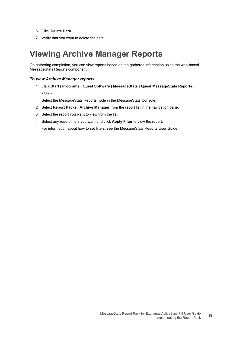- 6 Click **Delete Data**.
- 7 Verify that you want to delete the data.

## <span id="page-17-0"></span>**Viewing Archive Manager Reports**

<span id="page-17-1"></span>On gathering completion, you can view reports based on the gathered information using the web-based MessageStats Reports component.

### *To view Archive Manager reports*

1 Click **Start | Programs | Quest Software | MessageStats | Quest MessageStats Reports**. - OR -

Select the MessageStats Reports node in the MessageStats Console.

- 2 Select **Report Packs | Archive Manager** from the report list in the navigation pane.
- 3 Select the report you want to view from the list.
- 4 Select any report filters you want and click **Apply Filter** to view the report.

For information about how to set filters, see the MessageStats Reports User Guide.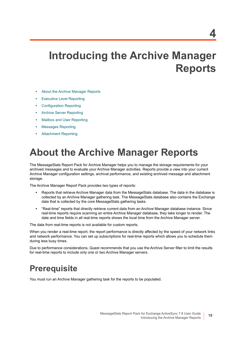# <span id="page-18-0"></span>**Introducing the Archive Manager Reports**

- **•** [About the Archive Manager Reports](#page-18-1)
- **•** [Executive Level Reporting](#page-19-1)
- **•** [Configuration Reporting](#page-20-0)
- **•** [Archive Server Reporting](#page-22-0)
- **•** [Mailbox and User Reporting](#page-23-0)
- **•** [Messages Reporting](#page-25-0)
- **•** [Attachment Reporting](#page-26-0)

# <span id="page-18-1"></span>**About the Archive Manager Reports**

<span id="page-18-3"></span>The MessageStats Report Pack for Archive Manager helps you to manage the storage requirements for your archived messages and to evaluate your Archive Manager activities. Reports provide a view into your current Archive Manager configuration settings, archival performance, and existing archived message and attachment storage.

The Archive Manager Report Pack provides two types of reports:

- <span id="page-18-4"></span>**•** Reports that retrieve Archive Manager data from the MessageStats database. The data in the database is collected by an Archive Manager gathering task. The MessageStats database also contains the Exchange data that is collected by the core MessageStats gathering tasks.
- **•** "Real-time" reports that directly retrieve current data from an Archive Manager database instance. Since real-time reports require scanning an entire Archive Manager database, they take longer to render. The date and time fields in all real-time reports shows the local time from the Archive Manager server.

The data from real-time reports is not available for custom reports.

When you render a real-time report, the report performance is directly affected by the speed of your network links and network performance. You can set up subscriptions for real-time reports which allows you to schedule them during less busy times.

Due to performance considerations, Quest recommends that you use the Archive Server filter to limit the results for real-time reports to include only one or two Archive Manager servers.

# <span id="page-18-2"></span>**Prerequisite**

You must run an Archive Manager gathering task for the reports to be populated.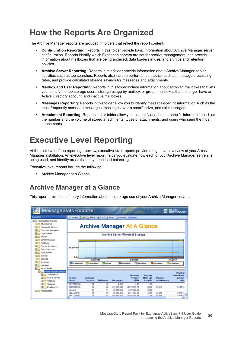# <span id="page-19-0"></span>**How the Reports Are Organized**

The Archive Manager reports are grouped in folders that reflect the report content:

- **• [Configuration Reporting:](#page-20-0)** Reports in this folder provide basic information about Archive Manager server configuration. Reports identify which Exchange servers are set for archive management, and provide information about mailboxes that are being archived, data loaders in use, and archive and retention policies.
- **• [Archive Server Reporting](#page-22-0):** Reports in this folder provide information about Archive Manager server activities such as top searches. Reports also include performance metrics such as message processing rates, and provide calculated storage savings for messages and attachments.
- **• [Mailbox and User Reporting](#page-23-0):** Reports in this folder include information about archived mailboxes that lets you identify the top storage users, storage usage by mailbox or group, mailboxes that no longer have an Active Directory account, and inactive mailboxes.
- **• [Messages Reporting](#page-25-0):** Reports in this folder allow you to identify message-specific information such as the most frequently accessed messages, messages over a specific size, and old messages.
- **• [Attachment Reporting:](#page-26-0)** Reports in this folder allow you to identify attachment-specific information such as the number and the volume of stored attachments, types of attachments, and users who send the most attachments.

# <span id="page-19-1"></span>**Executive Level Reporting**

At the root level of the reporting treeview, executive level reports provide a high-level overview of your Archive Manager installation. An executive level report helps you evaluate how each of your Archive Manager servers is being used, and identify areas that may need load balancing.

Executive level reports include the following:

<span id="page-19-2"></span>**•** Archive Manager at a Glance

## **Archive Manager at a Glance**

This report provides summary information about the storage use of your Archive Manager servers.

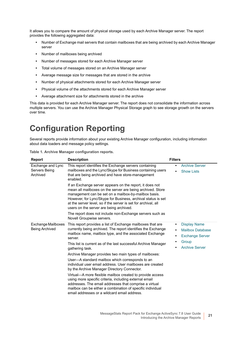It allows you to compare the amount of physical storage used by each Archive Manager server. The report provides the following aggregated data:

- **•** Number of Exchange mail servers that contain mailboxes that are being archived by each Archive Manager server
- **•** Number of mailboxes being archived
- **•** Number of messages stored for each Archive Manager server
- **•** Total volume of messages stored on an Archive Manager server
- **•** Average message size for messages that are stored in the archive
- **•** Number of physical attachments stored for each Archive Manager server
- **•** Physical volume of the attachments stored for each Archive Manager server
- **•** Average attachment size for attachments stored in the archive

This data is provided for each Archive Manager server. The report does not consolidate the information across multiple servers. You can use the Archive Manager Physical Storage graph to see storage growth on the servers over time.

# <span id="page-20-0"></span>**Configuration Reporting**

Several reports provide information about your existing Archive Manager configuration, including information about data loaders and message policy settings.

<span id="page-20-2"></span><span id="page-20-1"></span>

| Report                                         | <b>Description</b>                                                                                                                                                                                                                                                                                                                                          | <b>Filters</b>                                                                                                  |
|------------------------------------------------|-------------------------------------------------------------------------------------------------------------------------------------------------------------------------------------------------------------------------------------------------------------------------------------------------------------------------------------------------------------|-----------------------------------------------------------------------------------------------------------------|
| Exchange and Lync<br>Servers Being<br>Archived | This report identifies the Exchange servers containing<br>mailboxes and the Lync/Skype for Business containing users<br>that are being archived and have store-management<br>enabled.                                                                                                                                                                       | <b>Archive Server</b><br>٠<br><b>Show Lists</b>                                                                 |
|                                                | If an Exchange server appears on the report, it does not<br>mean all mailboxes on the server are being archived. Store<br>management can be set on a mailbox-by-mailbox basis.<br>However, for Lync/Skype for Business, archival status is set<br>at the server level, so if the server is set for archival, all<br>users on the server are being archived. |                                                                                                                 |
|                                                | The report does not include non-Exchange servers such as<br>Novell Groupwise servers.                                                                                                                                                                                                                                                                       |                                                                                                                 |
| Exchange Mailboxes<br>Being Archived           | This report provides a list of Exchange mailboxes that are<br>currently being archived. The report identifies the Exchange<br>mailbox name, mailbox type, and the associated Exchange<br>server.                                                                                                                                                            | <b>Display Name</b><br>$\bullet$<br><b>Mailbox Database</b><br>$\bullet$<br><b>Exchange Server</b><br>$\bullet$ |
|                                                | This list is current as of the last successful Archive Manager<br>gathering task.                                                                                                                                                                                                                                                                           | Group<br>$\bullet$<br><b>Archive Server</b>                                                                     |
|                                                | Archive Manager provides two main types of mailboxes:                                                                                                                                                                                                                                                                                                       |                                                                                                                 |
|                                                | User-A standard mailbox which corresponds to an<br>individual user email address. User mailboxes are created<br>by the Archive Manager Directory Connector.                                                                                                                                                                                                 |                                                                                                                 |
|                                                | Virtual—A more flexible mailbox created to provide access<br>using more specific criteria, including external email<br>addresses. The email addresses that comprise a virtual<br>mailbox can be either a combination of specific individual<br>email addresses or a wildcard email address.                                                                 |                                                                                                                 |

**Table 1. Archive Manager configuration reports.**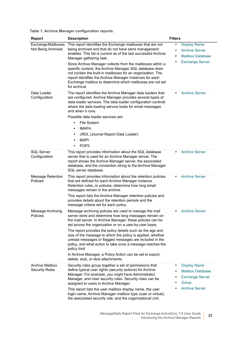**Table 1. Archive Manager configuration reports.**

<span id="page-21-5"></span><span id="page-21-4"></span><span id="page-21-3"></span><span id="page-21-2"></span><span id="page-21-1"></span><span id="page-21-0"></span>

| <b>Report</b>                                   | <b>Description</b>                                                                                                                                                                                                                                                                                                                                                                                                                                                                                                                                                                                                  | <b>Filters</b>                                                                                                                   |
|-------------------------------------------------|---------------------------------------------------------------------------------------------------------------------------------------------------------------------------------------------------------------------------------------------------------------------------------------------------------------------------------------------------------------------------------------------------------------------------------------------------------------------------------------------------------------------------------------------------------------------------------------------------------------------|----------------------------------------------------------------------------------------------------------------------------------|
| Exchange Mailboxes<br>Not Being Archived        | This report identifies the Exchange mailboxes that are not<br>being archived and that do not have store management<br>enabled. This list is current as of the last successful Archive<br>Manager gathering task.<br>Since Archive Manager collects from the mailboxes within a<br>specific context, the Archive Manager SQL database does<br>not contain the built-in mailboxes for an organization. The<br>report identifies the Archive Manager instances for each<br>Exchange mailbox to determine which mailboxes are not set<br>for archival.                                                                  | <b>Display Name</b><br>$\bullet$<br><b>Archive Server</b><br>$\bullet$<br><b>Mailbox Database</b><br>٠<br><b>Exchange Server</b> |
| Data Loader<br>Configuration                    | The report identifies the Archive Manager data loaders that<br>are configured. Archive Manager provides several types of<br>data loader services. The data loader configuration controls<br>where the data loading service looks for email messages<br>and when it runs.<br>Possible data loader services are:<br>File System<br>$\bullet$<br>IMAP4<br>$\bullet$<br>JRDL (Journal Report Data Loader)<br>٠<br><b>MAPI</b><br>POP <sub>3</sub>                                                                                                                                                                       | <b>Archive Server</b>                                                                                                            |
| <b>SQL Server</b><br>Configuration              | This report provides information about the SQL database<br>server that is used for an Archive Manager server. The<br>report shows the Archive Manager server, the associated<br>database, and the connection string to the Archive Manager<br>SQL server database.                                                                                                                                                                                                                                                                                                                                                  | <b>Archive Server</b>                                                                                                            |
| Message Retention<br>Policies                   | This report provides information about the retention policies<br>that are defined for each Archive Manager instance.<br>Retention rules, or policies, determine how long email<br>messages remain in the archive.<br>This report lists the Archive Manager retention policies and<br>provides details about the retention periods and the<br>message criteria set for each policy.                                                                                                                                                                                                                                  | <b>Archive Server</b>                                                                                                            |
| Message Archiving<br>Policies                   | Message archiving policies are used to manage the mail<br>server store and determine how long messages remain on<br>the mail server. In Archive Manager, these policies can be<br>set across the organization or on a user-by-user basis.<br>The report provides the policy details such as the age and<br>size of the message to which the policy is applied, whether<br>unread messages or flagged messages are included in the<br>policy, and what action to take once a message reaches the<br>policy limit.<br>In Archive Manager, a Policy Action can be set to export,<br>delete, stub, or stub attachments. | <b>Archive Server</b>                                                                                                            |
| <b>Archive Mailbox</b><br><b>Security Roles</b> | Security roles group together a set of permissions that<br>define typical user rights (security actions) for Archive<br>Manager. For example, you might have Administrator,<br>Manager, and User security roles. Security roles can be<br>assigned to users in Archive Manager.<br>This report lists the user mailbox display name, the user<br>login name, Archive Manager mailbox type (user or virtual),<br>the associated security role, and the organizational unit.                                                                                                                                           | <b>Display Name</b><br><b>Mailbox Database</b><br><b>Exchange Server</b><br>Group<br><b>Archive Server</b>                       |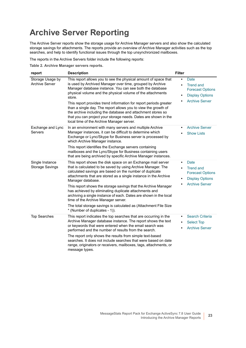# <span id="page-22-0"></span>**Archive Server Reporting**

The Archive Server reports show the storage usage for Archive Manager servers and also show the calculated storage savings for attachments. The reports provide an overview of Archive Manager activities such as the top searches, and help to identify functional issues through the top unsynchronized mailboxes.

The reports in the Archive Servers folder include the following reports:

**Table 2. Archive Manager servers reports.**

<span id="page-22-4"></span><span id="page-22-3"></span><span id="page-22-2"></span><span id="page-22-1"></span>

| report                                    | <b>Description</b>                                                                                                                                                                                                                                                                                                                                                                                                                                                                                                                                                                                                          | <b>Filter</b>                       |                                                                                                        |
|-------------------------------------------|-----------------------------------------------------------------------------------------------------------------------------------------------------------------------------------------------------------------------------------------------------------------------------------------------------------------------------------------------------------------------------------------------------------------------------------------------------------------------------------------------------------------------------------------------------------------------------------------------------------------------------|-------------------------------------|--------------------------------------------------------------------------------------------------------|
| Storage Usage by<br><b>Archive Server</b> | This report allows you to see the physical amount of space that<br>is used by Archived Manager over time, grouped by Archive<br>Manager database instance. You can see both the database<br>physical volume and the physical volume of the attachments<br>store.<br>This report provides trend information for report periods greater<br>than a single day. The report allows you to view the growth of<br>the archive including the database and attachment stores so<br>that you can project your storage needs. Dates are shown in the<br>local time of the Archive Manager server.                                      | $\bullet$<br>٠<br>$\bullet$         | Date<br><b>Trend and</b><br><b>Forecast Options</b><br><b>Display Options</b><br><b>Archive Server</b> |
| Exchange and Lync<br>Servers              | In an environment with many servers and multiple Archive<br>Manager instances, it can be difficult to determine which<br>Exchange or Lync/Skype for Business server is processed by<br>which Archive Manager instance.<br>This report identifies the Exchange servers containing<br>mailboxes and the Lync/Skype for Business containing users<br>that are being archived by specific Archive Manager instances.                                                                                                                                                                                                            | $\bullet$                           | <b>Archive Server</b><br><b>Show Lists</b>                                                             |
| Single Instance<br><b>Storage Savings</b> | This report shows the disk space on an Exchange mail server<br>that is calculated to be saved by using Archive Manager. The<br>calculated savings are based on the number of duplicate<br>attachments that are stored as a single instance in the Archive<br>Manager database.<br>This report shows the storage savings that the Archive Manager<br>has achieved by eliminating duplicate attachments and<br>archiving a single instance of each. Dates are shown in the local<br>time of the Archive Manager server.<br>The total storage savings is calculated as (Attachment File Size<br>* (Number of duplicates - 1)). | $\bullet$<br>$\bullet$<br>$\bullet$ | Date<br><b>Trend and</b><br><b>Forecast Options</b><br><b>Display Options</b><br><b>Archive Server</b> |
| <b>Top Searches</b>                       | This report indicates the top searches that are occurring in the<br>Archive Manager database instance. The report shows the text<br>or keywords that were entered when the email search was<br>performed and the number of results from the search.<br>The report only shows the results from simple text-based<br>searches. It does not include searches that were based on date<br>range, originators or receivers, mailboxes, tags, attachments, or<br>message types.                                                                                                                                                    | $\bullet$<br>$\bullet$              | <b>Search Criteria</b><br><b>Select Top</b><br><b>Archive Server</b>                                   |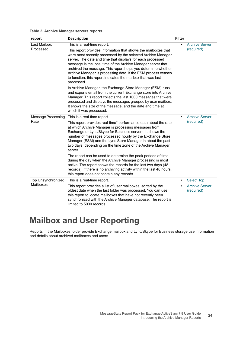### **Table 2. Archive Manager servers reports.**

<span id="page-23-1"></span>

| report                                 | <b>Description</b>                                                                                                                                                                                                                                                                                                                                                                                                                                                                                                                                                                                                                                                                                                                                                                                                                     | <b>Filter</b> |                                     |
|----------------------------------------|----------------------------------------------------------------------------------------------------------------------------------------------------------------------------------------------------------------------------------------------------------------------------------------------------------------------------------------------------------------------------------------------------------------------------------------------------------------------------------------------------------------------------------------------------------------------------------------------------------------------------------------------------------------------------------------------------------------------------------------------------------------------------------------------------------------------------------------|---------------|-------------------------------------|
| Last Mailbox                           | This is a real-time report.                                                                                                                                                                                                                                                                                                                                                                                                                                                                                                                                                                                                                                                                                                                                                                                                            | $\bullet$     | <b>Archive Server</b>               |
| Processed                              | This report provides information that shows the mailboxes that<br>were most recently processed by the selected Archive Manager<br>server. The date and time that displays for each processed<br>message is the local time of the Archive Manager server that<br>archived the message. This report helps you determine whether<br>Archive Manager is processing data. If the ESM process ceases<br>to function, this report indicates the mailbox that was last<br>processed.<br>In Archive Manager, the Exchange Store Manager (ESM) runs<br>and exports email from the current Exchange store into Archive<br>Manager. This report collects the last 1000 messages that were<br>processed and displays the messages grouped by user mailbox.<br>It shows the size of the message, and the date and time at<br>which it was processed. |               | (required)                          |
| Message Processing<br>Rate             | This is a real-time report.                                                                                                                                                                                                                                                                                                                                                                                                                                                                                                                                                                                                                                                                                                                                                                                                            | $\bullet$     | <b>Archive Server</b>               |
|                                        | This report provides real-time* performance data about the rate<br>at which Archive Manager is processing messages from<br>Exchange or Lync/Skype for Business servers. It shows the<br>number of messages processed hourly by the Exchange Store<br>Manager (ESM) and the Lync Store Manager in about the past<br>two days, depending on the time zone of the Archive Manager<br>server.                                                                                                                                                                                                                                                                                                                                                                                                                                              |               | (required)                          |
|                                        | The report can be used to determine the peak periods of time<br>during the day when the Archive Manager processing is most<br>active. The report shows the records for the last two days (48<br>records). If there is no archiving activity within the last 48 hours,<br>this report does not contain any records.                                                                                                                                                                                                                                                                                                                                                                                                                                                                                                                     |               |                                     |
| <b>Top Unsynchronized</b><br>Mailboxes | This is a real-time report.                                                                                                                                                                                                                                                                                                                                                                                                                                                                                                                                                                                                                                                                                                                                                                                                            | $\bullet$     | <b>Select Top</b>                   |
|                                        | This report provides a list of user mailboxes, sorted by the<br>oldest date when the last folder was processed. You can use<br>this report to locate mailboxes that have not recently been<br>synchronized with the Archive Manager database. The report is<br>limited to 5000 records.                                                                                                                                                                                                                                                                                                                                                                                                                                                                                                                                                |               | <b>Archive Server</b><br>(required) |

# <span id="page-23-3"></span><span id="page-23-2"></span><span id="page-23-0"></span>**Mailbox and User Reporting**

Reports in the Mailboxes folder provide Exchange mailbox and Lync/Skype for Business storage use information and details about archived mailboxes and users.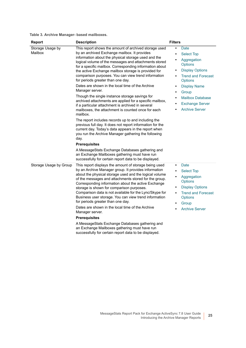**Table 3. Archive Manager- based mailboxes.**

<span id="page-24-1"></span><span id="page-24-0"></span>

| <b>Report</b>               | <b>Description</b>                                                                                                                                                                                                                                                                                                                                                                                                                                                                                                                                                                                                                                                                                                                                                                                                                                                                                                                                                                                                                                                                                                                                                              | <b>Filters</b>                                                                                                                                                                                                                                                                                                                  |
|-----------------------------|---------------------------------------------------------------------------------------------------------------------------------------------------------------------------------------------------------------------------------------------------------------------------------------------------------------------------------------------------------------------------------------------------------------------------------------------------------------------------------------------------------------------------------------------------------------------------------------------------------------------------------------------------------------------------------------------------------------------------------------------------------------------------------------------------------------------------------------------------------------------------------------------------------------------------------------------------------------------------------------------------------------------------------------------------------------------------------------------------------------------------------------------------------------------------------|---------------------------------------------------------------------------------------------------------------------------------------------------------------------------------------------------------------------------------------------------------------------------------------------------------------------------------|
| Storage Usage by<br>Mailbox | This report shows the amount of archived storage used<br>by an archived Exchange mailbox. It provides<br>information about the physical storage used and the<br>logical volume of the messages and attachments stored<br>for a specific mailbox. Corresponding information about<br>the active Exchange mailbox storage is provided for<br>comparison purposes. You can view trend information<br>for periods greater than one day.<br>Dates are shown in the local time of the Archive<br>Manager server.<br>Though the single instance storage savings for<br>archived attachments are applied for a specific mailbox,<br>if a particular attachment is archived in several<br>mailboxes, the attachment is counted once for each<br>mailbox.<br>The report includes records up to and including the<br>previous full day. It does not report information for the<br>current day. Today's data appears in the report when<br>you run the Archive Manager gathering the following<br>day.<br><b>Prerequisites</b><br>A MessageStats Exchange Databases gathering and<br>an Exchange Mailboxes gathering must have run<br>successfully for certain report data to be displayed. | Date<br>$\bullet$<br><b>Select Top</b><br>Aggregation<br><b>Options</b><br><b>Display Options</b><br>$\bullet$<br><b>Trend and Forecast</b><br><b>Options</b><br><b>Display Name</b><br>$\bullet$<br>Group<br>$\bullet$<br><b>Mailbox Database</b><br>$\bullet$<br><b>Exchange Server</b><br>$\bullet$<br><b>Archive Server</b> |
| Storage Usage by Group      | This report displays the amount of storage being used<br>by an Archive Manager group. It provides information<br>about the physical storage used and the logical volume<br>of the messages and attachments stored for the group.<br>Corresponding information about the active Exchange<br>storage is shown for comparison purposes.<br>Comparison data is not available for the Lync/Skype for<br>Business user storage. You can view trend information<br>for periods greater than one day.<br>Dates are shown in the local time of the Archive<br>Manager server.<br><b>Prerequisites</b><br>A MessageStats Exchange Databases gathering and<br>an Exchange Mailboxes gathering must have run<br>successfully for certain report data to be displayed.                                                                                                                                                                                                                                                                                                                                                                                                                       | Date<br>$\bullet$<br><b>Select Top</b><br>$\bullet$<br>Aggregation<br>٠<br><b>Options</b><br><b>Display Options</b><br>$\bullet$<br><b>Trend and Forecast</b><br>$\bullet$<br><b>Options</b><br>Group<br><b>Archive Server</b>                                                                                                  |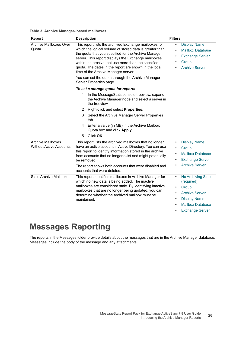**Table 3. Archive Manager- based mailboxes.**

<span id="page-25-3"></span>

| <b>Report</b>                                                                                                                                                                                                                                                                                                                                                                                                                                                                                             | <b>Description</b>                                                                                                                                                                                                                                                                                                                                                                                                                                                     | <b>Filters</b>                                                                                                                                                                                                  |  |  |
|-----------------------------------------------------------------------------------------------------------------------------------------------------------------------------------------------------------------------------------------------------------------------------------------------------------------------------------------------------------------------------------------------------------------------------------------------------------------------------------------------------------|------------------------------------------------------------------------------------------------------------------------------------------------------------------------------------------------------------------------------------------------------------------------------------------------------------------------------------------------------------------------------------------------------------------------------------------------------------------------|-----------------------------------------------------------------------------------------------------------------------------------------------------------------------------------------------------------------|--|--|
| Archive Mailboxes Over<br>This report lists the archived Exchange mailboxes for<br>which the logical volume of stored data is greater than<br>Quota<br>the quota that you specified for the Archive Manager<br>server. This report displays the Exchange mailboxes<br>within the archive that use more than the specified<br>quota. The dates in the report are shown in the local<br>time of the Archive Manager server.<br>You can set the quota through the Archive Manager<br>Server Properties page. |                                                                                                                                                                                                                                                                                                                                                                                                                                                                        | <b>Display Name</b><br>$\bullet$<br><b>Mailbox Database</b><br>$\bullet$<br><b>Exchange Server</b><br>٠<br>Group<br>٠<br><b>Archive Server</b>                                                                  |  |  |
|                                                                                                                                                                                                                                                                                                                                                                                                                                                                                                           | To set a storage quota for reports<br>In the MessageStats console treeview, expand<br>1.<br>the Archive Manager node and select a server in                                                                                                                                                                                                                                                                                                                            |                                                                                                                                                                                                                 |  |  |
| <b>Archive Mailboxes</b><br><b>Without Active Accounts</b>                                                                                                                                                                                                                                                                                                                                                                                                                                                | the treeview.<br>Right-click and select Properties.<br>2<br>Select the Archive Manager Server Properties<br>3<br>tab.<br>4 Enter a value (in MB) in the Archive Mailbox<br>Quota box and click Apply.<br>Click OK.<br>5<br>This report lists the archived mailboxes that no longer<br>have an active account in Active Directory. You can use<br>this report to identify information stored in the archive<br>from accounts that no longer exist and might potentially | <b>Display Name</b><br>$\bullet$<br>Group<br>$\bullet$<br><b>Mailbox Database</b><br>$\bullet$                                                                                                                  |  |  |
|                                                                                                                                                                                                                                                                                                                                                                                                                                                                                                           | be removed.<br>The report shows both accounts that were disabled and<br>accounts that were deleted.                                                                                                                                                                                                                                                                                                                                                                    | <b>Exchange Server</b><br>$\bullet$<br><b>Archive Server</b>                                                                                                                                                    |  |  |
| <b>Stale Archive Mailboxes</b>                                                                                                                                                                                                                                                                                                                                                                                                                                                                            | This report identifies mailboxes in Archive Manager for<br>which no new data is being added. The inactive<br>mailboxes are considered stale. By identifying inactive<br>mailboxes that are no longer being updated, you can<br>determine whether the archived mailbox must be<br>maintained.                                                                                                                                                                           | No Archiving Since<br>$\bullet$<br>(required)<br>Group<br>$\bullet$<br><b>Archive Server</b><br>$\bullet$<br><b>Display Name</b><br>$\bullet$<br><b>Mailbox Database</b><br><b>Exchange Server</b><br>$\bullet$ |  |  |

# <span id="page-25-2"></span><span id="page-25-1"></span><span id="page-25-0"></span>**Messages Reporting**

The reports in the Messages folder provide details about the messages that are in the Archive Manager database. Messages include the body of the message and any attachments.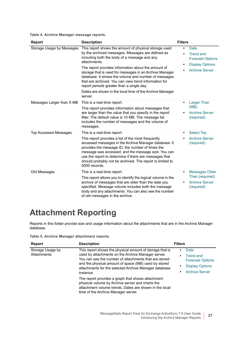**Table 4. Archive Manager message reports.**

<span id="page-26-5"></span><span id="page-26-1"></span>

| <b>Report</b>                | <b>Description</b>                                                                                                                                                                                                                                                                                                                                                                                                                                                                                                                | <b>Filters</b>                                                                                                                        |
|------------------------------|-----------------------------------------------------------------------------------------------------------------------------------------------------------------------------------------------------------------------------------------------------------------------------------------------------------------------------------------------------------------------------------------------------------------------------------------------------------------------------------------------------------------------------------|---------------------------------------------------------------------------------------------------------------------------------------|
| Storage Usage by Messages    | This report shows the amount of physical storage used<br>by the archived messages. Messages are defined as<br>including both the body of a message and any<br>attachments.<br>The report provides information about the amount of<br>storage that is used for messages in an Archive Manager<br>database. It shows the volume and number of messages<br>that are archived. You can view trend information for<br>report periods greater than a single day.<br>Dates are shown in the local time of the Archive Manager<br>server. | Date<br>$\bullet$<br><b>Trend and</b><br>$\bullet$<br><b>Forecast Options</b><br><b>Display Options</b><br>٠<br><b>Archive Server</b> |
| Messages Larger than X MB    | This is a real-time report.<br>This report provides information about messages that<br>are larger than the value that you specify in the report<br>filter. The default value is 10 MB. The message list<br>includes the number of messages and the volume of<br>messages.                                                                                                                                                                                                                                                         | <b>Larger Than</b><br>$\bullet$<br>(MB)<br><b>Archive Server</b><br>(required)                                                        |
| <b>Top Accessed Messages</b> | This is a real-time report.                                                                                                                                                                                                                                                                                                                                                                                                                                                                                                       | <b>Select Top</b><br>$\bullet$                                                                                                        |
|                              | This report provides a list of the most frequently<br>accessed messages in the Archive Manager database. It<br>provides the message ID, the number of times the<br>message was accessed, and the message size. You can<br>use the report to determine if there are messages that<br>should probably not be archived. The report is limited to<br>5000 records.                                                                                                                                                                    | <b>Archive Server</b><br>(required)                                                                                                   |
| Old Messages                 | This is a real-time report.                                                                                                                                                                                                                                                                                                                                                                                                                                                                                                       | Messages Older<br>$\bullet$                                                                                                           |
|                              | This report allows you to identify the logical volume in the<br>archive of messages that are older than the date you<br>specified. Message volume includes both the message<br>body and any attachments. You can also see the number<br>of old messages in the archive.                                                                                                                                                                                                                                                           | Than (required)<br><b>Archive Server</b><br>٠<br>(required)                                                                           |

# <span id="page-26-4"></span><span id="page-26-2"></span><span id="page-26-0"></span>**Attachment Reporting**

Reports in this folder provide size and usage information about the attachments that are in the Archive Manager database.

**Table 5. Archive Manager attachment reports.**

<span id="page-26-3"></span>

| Report                          | <b>Description</b>                                                                                                                                                                                                                                                                                    | <b>Filters</b>                                                                                                                     |
|---------------------------------|-------------------------------------------------------------------------------------------------------------------------------------------------------------------------------------------------------------------------------------------------------------------------------------------------------|------------------------------------------------------------------------------------------------------------------------------------|
| Storage Usage by<br>Attachments | This report shows the physical amount of storage that is<br>used by attachments on the Archive Manager server.<br>You can see the number of attachments that are stored<br>and the physical amount of space (MB) used by stored<br>attachments for the selected Archive Manager database<br>instance. | Date<br>٠<br><b>Trend and</b><br>$\bullet$<br><b>Forecast Options</b><br><b>Display Options</b><br>٠<br><b>Archive Server</b><br>٠ |
|                                 | The report provides a graph that shows attachment<br>physical volume by Archive server and charts the<br>attachment volume trends. Dates are shown in the local<br>time of the Archive Manager server.                                                                                                |                                                                                                                                    |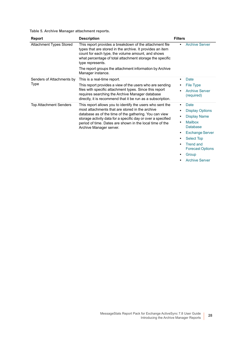**Table 5. Archive Manager attachment reports.**

<span id="page-27-3"></span><span id="page-27-2"></span><span id="page-27-1"></span><span id="page-27-0"></span>

| Report                        | <b>Description</b>                                                                                                                                                                                                                                                                                                                        | <b>Filters</b>                                           |
|-------------------------------|-------------------------------------------------------------------------------------------------------------------------------------------------------------------------------------------------------------------------------------------------------------------------------------------------------------------------------------------|----------------------------------------------------------|
| Attachment Types Stored       | This report provides a breakdown of the attachment file<br>types that are stored in the archive. It provides an item<br>count for each type, the volume amount, and shows<br>what percentage of total attachment storage the specific<br>type represents.<br>The report groups the attachment information by Archive<br>Manager instance. | <b>Archive Server</b><br>$\bullet$                       |
| Senders of Attachments by     | This is a real-time report.                                                                                                                                                                                                                                                                                                               | Date<br>٠                                                |
| Type                          | This report provides a view of the users who are sending                                                                                                                                                                                                                                                                                  | <b>File Type</b>                                         |
|                               | files with specific attachment types. Since this report<br>requires searching the Archive Manager database<br>directly, it is recommend that it be run as a subscription.                                                                                                                                                                 | <b>Archive Server</b><br>$\bullet$<br>(required)         |
| <b>Top Attachment Senders</b> | This report allows you to identify the users who sent the<br>most attachments that are stored in the archive<br>database as of the time of the gathering. You can view<br>storage activity data for a specific day or over a specified<br>period of time. Dates are shown in the local time of the<br>Archive Manager server.             | Date<br>$\bullet$                                        |
|                               |                                                                                                                                                                                                                                                                                                                                           | <b>Display Options</b><br>٠                              |
|                               |                                                                                                                                                                                                                                                                                                                                           | <b>Display Name</b><br>٠                                 |
|                               |                                                                                                                                                                                                                                                                                                                                           | <b>Mailbox</b><br>$\bullet$<br><b>Database</b>           |
|                               |                                                                                                                                                                                                                                                                                                                                           | <b>Exchange Server</b><br>$\bullet$                      |
|                               |                                                                                                                                                                                                                                                                                                                                           | <b>Select Top</b><br>$\bullet$                           |
|                               |                                                                                                                                                                                                                                                                                                                                           | <b>Trend and</b><br>$\bullet$<br><b>Forecast Options</b> |
|                               |                                                                                                                                                                                                                                                                                                                                           | Group<br>٠                                               |
|                               |                                                                                                                                                                                                                                                                                                                                           | <b>Archive Server</b><br>٠                               |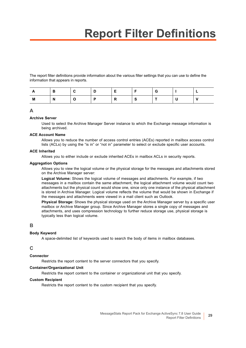# **Report Filter Definitions**

<span id="page-28-0"></span>The report filter definitions provide information about the various filter settings that you can use to define the information that appears in reports.

|   | В |  |   |                | G |  |
|---|---|--|---|----------------|---|--|
| M | N |  | R | $\bullet$<br>G |   |  |

### **A**

### <span id="page-28-1"></span>**Archive Server**

Used to select the Archive Manager Server instance to which the Exchange message information is being archived.

#### **ACE Account Name**

Allows you to reduce the number of access control entries (ACEs) reported in mailbox access control lists (ACLs) by using the "is in" or "not in" parameter to select or exclude specific user accounts.

#### **ACE Inherited**

Allows you to either include or exclude inherited ACEs in mailbox ACLs in security reports.

#### <span id="page-28-2"></span>**Aggregation Options**

Allows you to view the logical volume or the physical storage for the messages and attachments stored on the Archive Manager server:

**Logical Volume:** Shows the logical volume of messages and attachments. For example, if two messages in a mailbox contain the same attachment, the logical attachment volume would count two attachments but the physical count would show one, since only one instance of the physical attachment is stored in Archive Manager. Logical volume reflects the volume that would be shown in Exchange if the messages and attachments were viewed in a mail client such as Outlook.

**Physical Storage:** Shows the physical storage used on the Archive Manager server by a specific user mailbox or Archive Manager group. Since Archive Manager stores a single copy of messages and attachments, and uses compression technology to further reduce storage use, physical storage is typically less than logical volume.

### <span id="page-28-3"></span>**B**

#### **Body Keyword**

A space-delimited list of keywords used to search the body of items in mailbox databases.

### <span id="page-28-4"></span>**C**

### **Connector**

Restricts the report content to the server connectors that you specify.

#### **Container/Organizational Unit**

Restricts the report content to the container or organizational unit that you specify.

#### **Custom Recipient**

Restricts the report content to the custom recipient that you specify.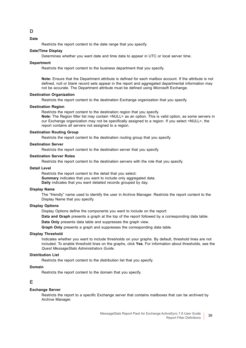<span id="page-29-2"></span>**Date**

Restricts the report content to the date range that you specify.

#### **Date/Time Display**

Determines whether you want date and time data to appear in UTC or local server time.

#### **Department**

Restricts the report content to the business department that you specify.

**Note:** Ensure that the Department attribute is defined for each mailbox account. If the attribute is not defined, null or blank record sets appear in the report and aggregated departmental information may not be accurate. The Department attribute must be defined using Microsoft Exchange.

#### **Destination Organization**

Restricts the report content to the destination Exchange organization that you specify.

#### **Destination Region**

Restricts the report content to the destination region that you specify.

**Note:** The Region filter list may contain <NULL> as an option. This is valid option, as some servers in our Exchange organization may not be specifically assigned to a region. If you select <NULL>, the report contains all servers not assigned to a region.

#### **Destination Routing Group**

Restricts the report content to the destination routing group that you specify.

#### **Destination Server**

Restricts the report content to the destination server that you specify.

#### **Destination Server Roles**

Restricts the report content to the destination servers with the role that you specify.

#### **Detail Level**

Restricts the report content to the detail that you select: **Summary** indicates that you want to include only aggregated data. **Daily** indicates that you want detailed records grouped by day.

#### <span id="page-29-0"></span>**Display Name**

The "friendly" name used to identify the user in Archive Manager. Restricts the report content to the Display Name that you specify.

#### <span id="page-29-3"></span>**Display Options**

Display Options define the components you want to include on the report:

**Data and Graph** presents a graph at the top of the report followed by a corresponding data table.

**Data Only** presents data table and suppresses the graph view.

**Graph Only** presents a graph and suppresses the corresponding data table.

#### **Display Threshold**

Indicates whether you want to include thresholds on your graphs. By default, threshold lines are not included. To enable threshold lines on the graphs, click **Yes**. For information about thresholds, see the *Quest MessageStats Administrators Guide*.

#### **Distribution List**

Restricts the report content to the distribution list that you specify.

#### **Domain**

Restricts the report content to the domain that you specify.

#### <span id="page-29-5"></span>**E**

#### <span id="page-29-1"></span>**Exchange Server**

Restricts the report to a specific Exchange server that contains mailboxes that can be archived by Archive Manager.

<span id="page-29-4"></span>**D**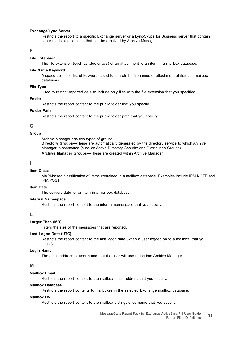#### **Exchange/Lync Server**

Restricts the report to a specific Exchange server or a Lync/Skype for Business server that contain either mailboxes or users that can be archived by Archive Manager.

### <span id="page-30-4"></span>**F**

#### **File Extension**

The file extension (such as .doc or .xls) of an attachment to an item in a mailbox database.

#### **File Name Keyword**

A space-delimited list of keywords used to search the filenames of attachment of items in mailbox databases.

#### <span id="page-30-3"></span>**File Type**

Used to restrict reported data to include only files with the file extension that you specified.

#### **Folder**

Restricts the report content to the public folder that you specify.

#### **Folder Path**

Restricts the report content to the public folder path that you specify.

### <span id="page-30-8"></span>**G**

#### <span id="page-30-1"></span>**Group**

Archive Manager has two types of groups: **Directory Groups—**These are automatically generated by the directory service to which Archive Manager is connected (such as Active Directory Security and Distribution Groups). **Archive Manager Groups—**These are created within Archive Manager.

### <span id="page-30-5"></span>**I**

#### **Item Class**

MAPI-based classification of items contained in a mailbox database. Examples include IPM.NOTE and IPM.POST.

#### **Item Date**

The delivery date for an item in a mailbox database.

#### **Internal Namespace**

Restricts the report content to the internal namespace that you specify.

#### <span id="page-30-6"></span>**L**

#### <span id="page-30-2"></span>**Larger Than (MB)**

Filters the size of the messages that are reported.

#### **Last Logon Date (UTC)**

Restricts the report content to the last logon date (when a user logged on to a mailbox) that you specify.

#### **Login Name**

The email address or user name that the user will use to log into Archive Manager.

#### <span id="page-30-7"></span>**M**

### **Mailbox Email**

Restricts the report content to the mailbox email address that you specify.

#### <span id="page-30-0"></span>**Mailbox Database**

Restricts the report contents to mailboxes in the selected Exchange mailbox database.

#### **Mailbox DN**

Restricts the report content to the mailbox distinguished name that you specify.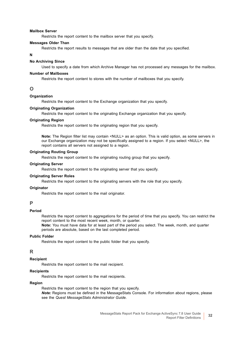#### **Mailbox Server**

Restricts the report content to the mailbox server that you specify.

#### <span id="page-31-1"></span>**Messages Older Than**

Restricts the report results to messages that are older than the date that you specified.

#### <span id="page-31-2"></span>**N**

#### <span id="page-31-0"></span>**No Archiving Since**

Used to specify a date from which Archive Manager has not processed any messages for the mailbox.

#### **Number of Mailboxes**

Restricts the report content to stores with the number of mailboxes that you specify.

#### <span id="page-31-3"></span>**O**

#### **Organization**

Restricts the report content to the Exchange organization that you specify.

#### **Originating Organization**

Restricts the report content to the originating Exchange organization that you specify.

#### **Originating Region**

Restricts the report content to the originating region that you specify.

**Note:** The Region filter list may contain <NULL> as an option. This is valid option, as some servers in our Exchange organization may not be specifically assigned to a region. If you select <NULL>, the report contains all servers not assigned to a region.

#### **Originating Routing Group**

Restricts the report content to the originating routing group that you specify.

#### **Originating Server**

Restricts the report content to the originating server that you specify.

#### **Originating Server Roles**

Restricts the report content to the originating servers with the role that you specify.

#### **Originator**

Restricts the report content to the mail originator.

#### <span id="page-31-4"></span>**P**

### **Period**

Restricts the report content to aggregations for the period of time that you specify. You can restrict the report content to the most recent week, month, or quarter.

**Note:** You must have data for at least part of the period you select. The week, month, and quarter periods are absolute, based on the last completed period.

#### **Public Folder**

Restricts the report content to the public folder that you specify.

### <span id="page-31-5"></span>**R**

#### **Recipient**

Restricts the report content to the mail recipient.

#### **Recipients**

Restricts the report content to the mail recipients.

#### **Region**

Restricts the report content to the region that you specify.

*Note:* Regions must be defined in the MessageStats Console. For information about regions, please see the *Quest MessageStats Administrator Guide*.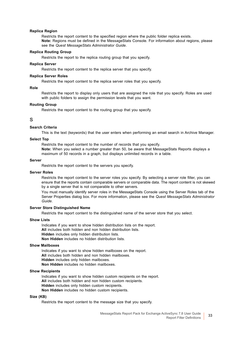#### **Replica Region**

Restricts the report content to the specified region where the public folder replica exists. **Note:** Regions must be defined in the MessageStats Console. For information about regions, please see the *Quest MessageStats Administrator Guide*.

#### **Replica Routing Group**

Restricts the report to the replica routing group that you specify.

#### **Replica Server**

Restricts the report content to the replica server that you specify.

#### **Replica Server Roles**

Restricts the report content to the replica server roles that you specify.

#### **Role**

Restricts the report to display only users that are assigned the role that you specify. Roles are used with public folders to assign the permission levels that you want.

#### **Routing Group**

Restricts the report content to the routing group that you specify.

### <span id="page-32-3"></span>**S**

#### <span id="page-32-2"></span>**Search Criteria**

This is the text (keywords) that the user enters when performing an email search in Archive Manager.

#### <span id="page-32-1"></span>**Select Top**

Restricts the report content to the number of records that you specify. **Note:** When you select a number greater than 50, be aware that MessageStats Reports displays a maximum of 50 records in a graph, but displays unlimited records in a table.

#### **Server**

Restricts the report content to the servers you specify.

#### **Server Roles**

Restricts the report content to the server roles you specify. By selecting a server role filter, you can ensure that the reports contain comparable servers or comparable data. The report content is not skewed by a single server that is not comparable to other servers.

You must manually identify server roles in the MessageStats Console using the Server Roles tab of the Server Properties dialog box. For more information, please see the *Quest MessageStats Administrator Guide*.

#### **Server Store Distinguished Name**

Restricts the report content to the distinguished name of the server store that you select.

#### <span id="page-32-0"></span>**Show Lists**

Indicates if you want to show hidden distribution lists on the report. **All** includes both hidden and non hidden distribution lists. **Hidden** includes only hidden distribution lists. **Non Hidden** includes no hidden distribution lists.

#### **Show Mailboxes**

Indicates if you want to show hidden mailboxes on the report. **All** includes both hidden and non hidden mailboxes. **Hidden** includes only hidden mailboxes. **Non Hidden** includes no hidden mailboxes.

#### **Show Recipients**

Indicates if you want to show hidden custom recipients on the report. **All** includes both hidden and non hidden custom recipients. **Hidden** includes only hidden custom recipients. **Non Hidden** includes no hidden custom recipients.

#### **Size (KB)**

Restricts the report content to the message size that you specify.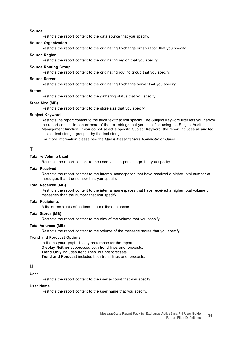#### **Source**

Restricts the report content to the data source that you specify.

#### **Source Organization**

Restricts the report content to the originating Exchange organization that you specify.

#### **Source Region**

Restricts the report content to the originating region that you specify.

#### **Source Routing Group**

Restricts the report content to the originating routing group that you specify.

#### **Source Server**

Restricts the report content to the originating Exchange server that you specify.

#### **Status**

Restricts the report content to the gathering status that you specify.

#### **Store Size (MB)**

Restricts the report content to the store size that you specify.

#### **Subject Keyword**

Restricts the report content to the audit text that you specify. The Subject Keyword filter lets you narrow the report content to one or more of the text strings that you identified using the Subject Audit Management function. If you do not select a specific Subject Keyword, the report includes all audited subject text strings, grouped by the text string.

For more information please see the *Quest MessageStats Administrator Guide*.

### <span id="page-33-1"></span>**T**

#### **Total % Volume Used**

Restricts the report content to the used volume percentage that you specify.

#### **Total Received**

Restricts the report content to the internal namespaces that have received a higher total number of messages than the number that you specify.

#### **Total Received (MB)**

Restricts the report content to the internal namespaces that have received a higher total volume of messages than the number that you specify.

#### **Total Recipients**

A list of recipients of an item in a mailbox database.

#### **Total Stores (MB)**

Restricts the report content to the size of the volume that you specify.

#### **Total Volumes (MB)**

Restricts the report content to the volume of the message stores that you specify.

#### <span id="page-33-0"></span>**Trend and Forecast Options**

Indicates your graph display preference for the report. **Display Neither** suppresses both trend lines and forecasts. **Trend Only** includes trend lines, but not forecasts. **Trend and Forecast** includes both trend lines and forecasts.

### <span id="page-33-2"></span>**U**

### **User**

Restricts the report content to the user account that you specify.

#### **User Name**

Restricts the report content to the user name that you specify.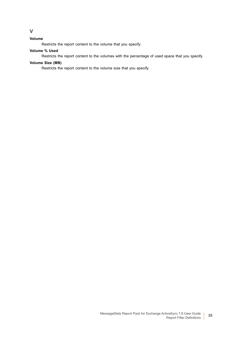### **Volume**

<span id="page-34-0"></span>**V**

Restricts the report content to the volume that you specify.

### **Volume % Used**

Restricts the report content to the volumes with the percentage of used space that you specify.

#### **Volume Size (MB)**

Restricts the report content to the volume size that you specify.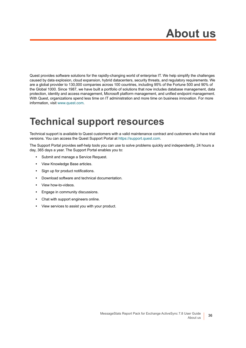<span id="page-35-0"></span>Quest provides software solutions for the rapidly-changing world of enterprise IT. We help simplify the challenges caused by data explosion, cloud expansion, hybrid datacenters, security threats, and regulatory requirements. We are a global provider to 130,000 companies across 100 countries, including 95% of the Fortune 500 and 90% of the Global 1000. Since 1987, we have built a portfolio of solutions that now includes database management, data protection, identity and access management, Microsoft platform management, and unified endpoint management. With Quest, organizations spend less time on IT administration and more time on business innovation. For more information, visit [www.quest.com](https://www.quest.com/company/contact-us.aspx).

# <span id="page-35-1"></span>**Technical support resources**

Technical support is available to Quest customers with a valid maintenance contract and customers who have trial versions. You can access the Quest Support Portal at [https://support.quest.com.](https://support.quest.com)

The Support Portal provides self-help tools you can use to solve problems quickly and independently, 24 hours a day, 365 days a year. The Support Portal enables you to:

- **•** Submit and manage a Service Request.
- **•** View Knowledge Base articles.
- **•** Sign up for product notifications.
- **•** Download software and technical documentation.
- **•** View how-to-videos.
- **•** Engage in community discussions.
- **•** Chat with support engineers online.
- **•** View services to assist you with your product.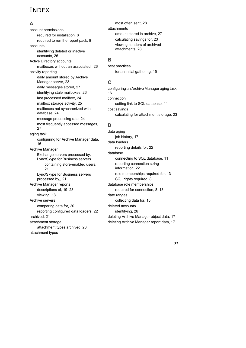## INDEX

### **A**

account permissions [required for installation, 8](#page-7-5) [required to run the report pack, 8](#page-7-6) accounts [identifying deleted or inactive](#page-25-1)  accounts, 26 Active Directory accounts [mailboxes without an associated,, 26](#page-25-1) activity reporting [daily amount stored by Archive](#page-22-1)  Manager server, 23 [daily messages stored, 27](#page-26-1) [identifying stale mailboxes, 26](#page-25-2) [last processed mailbox, 24](#page-23-1) [mailbox storage activity, 25](#page-24-0) [mailboxes not synchronized with](#page-23-2)  database, 24 [message processing rate, 24](#page-23-3) [most frequently accessed messages,](#page-26-2)  27 aging task [configuring for Archive Manager data,](#page-15-2)  16 Archive Manager Exchange servers processed by, Lync/Skype for Business servers [containing store-enabled users,](#page-20-1)  21 [Lync/Skype for Business servers](#page-20-1)  processed by,, 21 Archive Manager reports [descriptions of, 19–](#page-18-3)[28](#page-27-0) [viewing, 18](#page-17-1) Archive servers [comparing data for, 20](#page-19-2) [reporting configured data loaders, 22](#page-21-0) [archived, 21](#page-20-2) attachment storage [attachment types archived, 28](#page-27-1) attachment types

[most often sent, 28](#page-27-2) attachments [amount stored in archive, 27](#page-26-3) [calculating savings for, 23](#page-22-2) [viewing senders of archived](#page-27-3)  attachments, 28

### **B**

best practices [for an initial gathering, 15](#page-14-3)

### **C**

[configuring an Archive Manager aging task,](#page-15-2)  16 connection [setting link to SQL database, 11](#page-10-3) cost savings [calculating for attachment storage, 23](#page-22-2)

### **D**

data aging [job history, 17](#page-16-2) data loaders [reporting details for, 22](#page-21-0) database [connecting to SQL database, 11](#page-10-3) [reporting connection string](#page-21-1)  information, 22 [role memberships required for, 13](#page-12-0) [SQL rights required, 8](#page-7-7) database role memberships [required for connection, 8,](#page-7-8) [13](#page-12-1) date ranges [collecting data for, 15](#page-14-3) deleted accounts [identifying, 26](#page-25-1) [deleting Archive Manager object data, 17](#page-16-3) [deleting Archive Manager report data, 17](#page-16-4)

**37**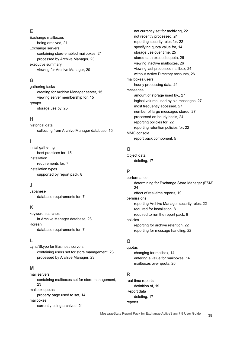### **E**

Exchange mailboxes [being archived, 21](#page-20-2) Exchange servers [containing store-enabled mailboxes, 21](#page-20-1) [processed by Archive Manager, 23](#page-22-3) executive summary [viewing for Archive Manager, 20](#page-19-2)

### **G**

gathering tasks [creating for Archive Manager server, 15](#page-14-4) [viewing server membership for, 15](#page-14-5) groups [storage use by, 25](#page-24-1)

### **H**

historical data [collecting from Archive Manager database, 15](#page-14-3)

### **I**

initial gathering [best practices for, 15](#page-14-3) installation [requirements for, 7](#page-6-2) installation types [supported by report pack, 8](#page-7-9)

### **J**

Japanese [database requirements for, 7](#page-6-3)

### **K**

keyword searches [in Archive Manager database, 23](#page-22-4) Korean [database requirements for, 7](#page-6-4)

### **L**

Lync/Skype for Business servers [containing users set for store management, 23](#page-22-3) [processed by Archive Manager, 23](#page-22-3)

### **M**

mail servers [containing mailboxes set for store management,](#page-22-3)  23 mailbox quotas [property page used to set, 14](#page-13-2) mailboxes [currently being archived, 21](#page-20-2)

[not currently set for archiving, 22](#page-21-2) [not recently processed, 24](#page-23-2) [reporting security roles for, 22](#page-21-3) [specifying quota value for, 14](#page-13-3) [storage use over time, 25](#page-24-0) [stored data exceeds quota, 26](#page-25-3) [viewing inactive mailboxes, 26](#page-25-2) [viewing last processed mailbox, 24](#page-23-1) [without Active Directory accounts, 26](#page-25-1) mailboxes.users [hourly processing data, 24](#page-23-3) messages [amount of storage used by,, 27](#page-26-1) [logical volume used by old messages, 27](#page-26-4) [most frequently accessed, 27](#page-26-2) [number of large messages stored, 27](#page-26-5) [processed on hourly basis, 24](#page-23-3) [reporting policies for, 22](#page-21-4) [reporting retention policies for, 22](#page-21-5) MMC console [report pack component, 5](#page-4-1)

### **O**

Object data [deleting, 17](#page-16-3)

### **P**

performance [determining for Exchange Store Manager \(ESM\),](#page-23-1)  24 [effect of real-time reports, 19](#page-18-4) permissions [reporting Archive Manager security roles, 22](#page-21-3) [required for installation, 8](#page-7-5) [required to run the report pack, 8](#page-7-6) policies [reporting for archive retention, 22](#page-21-5) [reporting for message handling, 22](#page-21-4)

### **Q**

quotas [changing for mailbox, 14](#page-13-2) [entering a value for mailboxes, 14](#page-13-3) [mailboxes over quota, 26](#page-25-3)

### **R**

real-time reports [definition of, 19](#page-18-4) Report data [deleting, 17](#page-16-4) reports